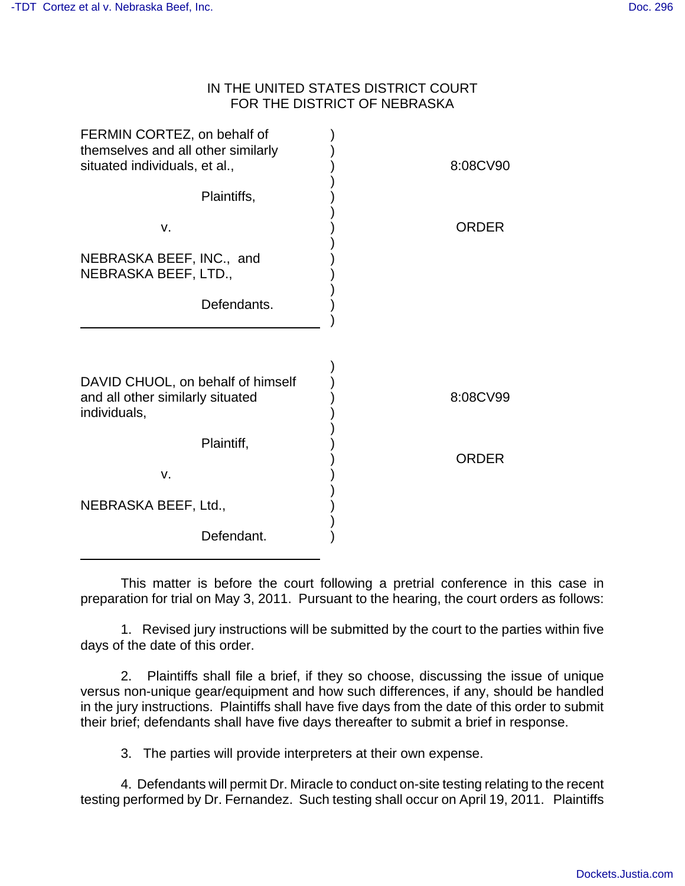## IN THE UNITED STATES DISTRICT COURT FOR THE DISTRICT OF NEBRASKA

| FERMIN CORTEZ, on behalf of<br>themselves and all other similarly<br>situated individuals, et al., | 8:08CV90 |
|----------------------------------------------------------------------------------------------------|----------|
| Plaintiffs,                                                                                        |          |
| v.                                                                                                 | ORDER    |
| NEBRASKA BEEF, INC., and<br>NEBRASKA BEEF, LTD.,                                                   |          |
| Defendants.                                                                                        |          |
| DAVID CHUOL, on behalf of himself<br>and all other similarly situated<br>individuals,              | 8:08CV99 |
| Plaintiff,<br>v.                                                                                   | ORDER    |
| NEBRASKA BEEF, Ltd.,                                                                               |          |
| Defendant.                                                                                         |          |

This matter is before the court following a pretrial conference in this case in preparation for trial on May 3, 2011. Pursuant to the hearing, the court orders as follows:

1. Revised jury instructions will be submitted by the court to the parties within five days of the date of this order.

2. Plaintiffs shall file a brief, if they so choose, discussing the issue of unique versus non-unique gear/equipment and how such differences, if any, should be handled in the jury instructions. Plaintiffs shall have five days from the date of this order to submit their brief; defendants shall have five days thereafter to submit a brief in response.

3. The parties will provide interpreters at their own expense.

4. Defendants will permit Dr. Miracle to conduct on-site testing relating to the recent testing performed by Dr. Fernandez. Such testing shall occur on April 19, 2011. Plaintiffs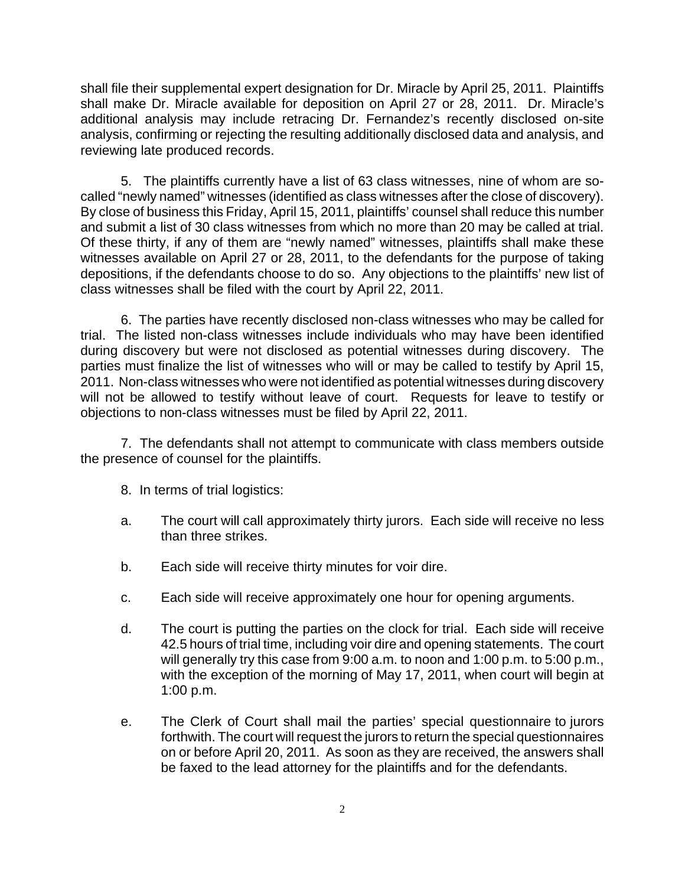shall file their supplemental expert designation for Dr. Miracle by April 25, 2011. Plaintiffs shall make Dr. Miracle available for deposition on April 27 or 28, 2011. Dr. Miracle's additional analysis may include retracing Dr. Fernandez's recently disclosed on-site analysis, confirming or rejecting the resulting additionally disclosed data and analysis, and reviewing late produced records.

5. The plaintiffs currently have a list of 63 class witnesses, nine of whom are socalled "newly named" witnesses (identified as class witnesses after the close of discovery). By close of business this Friday, April 15, 2011, plaintiffs' counsel shall reduce this number and submit a list of 30 class witnesses from which no more than 20 may be called at trial. Of these thirty, if any of them are "newly named" witnesses, plaintiffs shall make these witnesses available on April 27 or 28, 2011, to the defendants for the purpose of taking depositions, if the defendants choose to do so. Any objections to the plaintiffs' new list of class witnesses shall be filed with the court by April 22, 2011.

6. The parties have recently disclosed non-class witnesses who may be called for trial. The listed non-class witnesses include individuals who may have been identified during discovery but were not disclosed as potential witnesses during discovery. The parties must finalize the list of witnesses who will or may be called to testify by April 15, 2011. Non-class witnesses who were not identified as potential witnesses during discovery will not be allowed to testify without leave of court. Requests for leave to testify or objections to non-class witnesses must be filed by April 22, 2011.

7. The defendants shall not attempt to communicate with class members outside the presence of counsel for the plaintiffs.

- 8. In terms of trial logistics:
- a. The court will call approximately thirty jurors. Each side will receive no less than three strikes.
- b. Each side will receive thirty minutes for voir dire.
- c. Each side will receive approximately one hour for opening arguments.
- d. The court is putting the parties on the clock for trial. Each side will receive 42.5 hours of trial time, including voir dire and opening statements. The court will generally try this case from 9:00 a.m. to noon and 1:00 p.m. to 5:00 p.m., with the exception of the morning of May 17, 2011, when court will begin at 1:00 p.m.
- e. The Clerk of Court shall mail the parties' special questionnaire to jurors forthwith. The court will request the jurors to return the special questionnaires on or before April 20, 2011. As soon as they are received, the answers shall be faxed to the lead attorney for the plaintiffs and for the defendants.